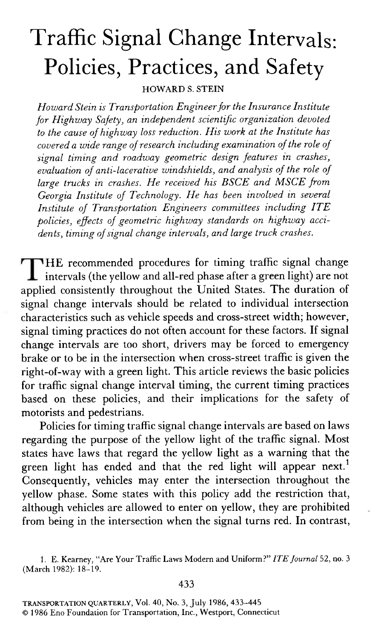# Traffic Signal Change Intervals: Policies, Practices, and Safety

HOWARD S. STEIN

Howard Stein is Transportation Engineer for the Insurance Institute for Highway Safety, an independent scientific organization devoted to the cause of highway loss reduction. His work at the Institute has covered a wide range of research including examination of the role of signal timing and roadway geometric design features in crashes, evaluation of anti-lacerative windshields, and analysis of the role of large trucks in crashes. He received his BSCE and MSCE from Georgia Institute of Technology. He has been inuolued in seueral Institute of Transportation Engineers committees including ITE policies, effects of geometric highway standards on highway accidents, timing of signal change interuals, and large truch crashes.

HE recommended procedures for timing traffic signal change intervals (the yellow and all-red phase after a green light) are not applied consistently throughout the United States. The duration of signal change intervals should be related to individual intersection characteristics such as vehicle speeds and cross-street width; however, signal timing practices do not often account for these factors. If signal change intervals are too short, drivers may be forced to emergency brake or to be in the intersection when cross-street traffic is given the right-of-way with a green light. This article reviews the basic policies for traffic signal change interval timing, the current timing practices based on these policies, and their implications for the safety of motorists and pedestrians.

Policies for timing traffic signal change intervals are based on laws regarding the purpose of the yellow light of the traffic signal. Most states have laws that regard the yellow light as a warning that the green light has ended and that the red light will appear next.<sup>1</sup> Consequently, vehicles may enter the intersection throughout the yellow phase. Some states with this policy add the restriction that, although vehicles are allowed to enter on yellow, they are prohibited from being in the intersection when the signal turns red. In contrast,

<sup>1.</sup> E. Kearney, "Are Your Traffic Laws Modern and Uniform?" ITE Journal 52, no. 3 (March 1982): 18-19.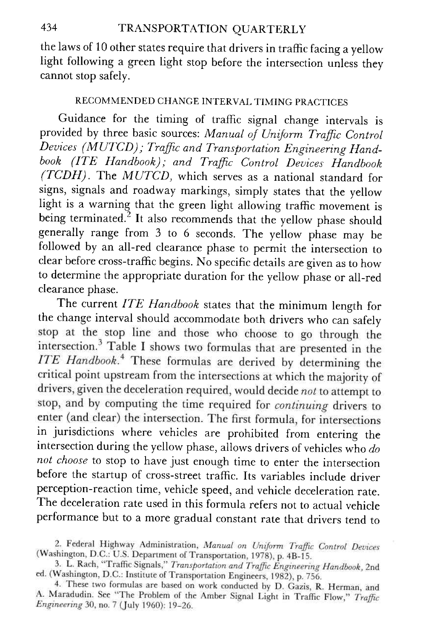the laws of 10 other states require that drivers in traffic facing a yellow light following a green light stop before the intersection unless they cannot stop safely.

## RECOMMENDED CHANGE INTERVAL TIMING PRACTICES

Guidance for the timing of traffic signal change intervals is provided by three basic sources: Manual of Uniform Traffic Control Devices (MUTCD); Traffic and Transportation Engineering Handbook (ITE Handbook); and Traffic Control Devices Handbook (TCDH). The MUTCD, which serves as a national standard for signs, signals and roadway markings, simply states that the yellow light is a warning that the green light allowing traffic movement is being terminated.<sup>2</sup> It also recommends that the yellow phase should generally range from 3 to 6 seconds. The yellow phase may be followed by an all-red clearance phase to permit the intersection to clear before cross-traffic begins. No specific details are given as to how to determine the appropriate duration for the yellow phase or all-red clearance phase.

The current ITE Handbook states that the minimum length for the change interval should accommodate both drivers who can safely stop at the stop line and those who choose to go through the intersection.<sup>3</sup> Table I shows two formulas that are presented in the ITE Handbook.<sup>4</sup> These formulas are derived by determining the critical point upstream from the intersections at which the majority of drivers, given the deceleration required, would decide not to attempt to stop, and by computing the time required for *continuing* drivers to enter (and clear) the intersection. The first formula, for intersections in jurisdictions where vehicles are prohibited from entering the intersection during the yellow phase, allows drivers of vehicles who do not choose to stop to have just enough time to enter the intersection before the startup of cross-street traffic. Its variables include driver perception-reaction time, vehicle speed, and vehicle deceleration rate. The deceleration rate used in this formula refers not to actual vehicle performance but to a more gradual constant rate that drivers tend to

2. Federal Highway Administration, Manual on Uniform Traffic Control Devices (Washington, D.C.: U.S. Department of Transportation, 1978), p. 4B-15.

3. L. Rach, "Traffic Signals," Transportation and Traffic Engineering Handbook, 2nd ed. (Washington, D.C.: Institute of Transportation Engineers, 1982), p. 756.

4. These two formulas are based on work conducted by D. Gazis, R. Herman, and A. Maradudin. See "The Problem of the Amber Signal Light in Traffic Flow," Traffic *Engineering* 30, no. 7 (July 1960): 19-26.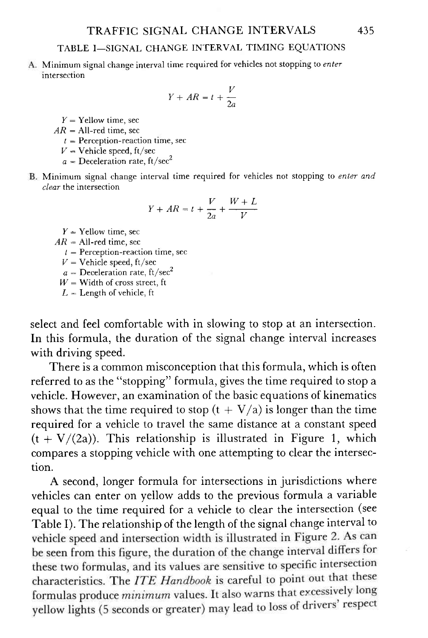A. Minimum signal change interval time required for vehicles not stopping to enter intersection

$$
Y + AR = t + \frac{V}{2a}
$$

 $Y =$  Yellow time, sec

 $AR = All-red time, sec$ 

- $t =$  Perception-reaction time, sec
- $V =$  Vehicle speed, ft/sec

 $a =$  Deceleration rate, ft/sec<sup>2</sup>

B. Minimum signal change interval time required for vehicles not stopping to *enter and* clear the intersection

$$
Y + AR = t + \frac{V}{2a} + \frac{W + L}{V}
$$

 $Y =$ Yellow time, sec

 $AR = All-red$  time, sec

 $t =$  Perception-reaction time, sec

 $V =$  Vehicle speed, ft/sec

 $a =$  Deceleration rate, ft/sec<sup>2</sup>

 $W =$  Width of cross street, ft

 $L =$  Length of vehicle, ft

select and feel comfortable with in slowing to stop at an intersection. In this formula, the duration of the signal change interval increases with driving speed.

There is a common misconception that this formula, which is often referred to as the "stopping" formula, gives the time required to stop a vehicle. However, an examination of the basic equations of kinematics shows that the time required to stop  $(t + V/a)$  is longer than the time required for a vehicle to travel the same distance at a constant speed  $(t+V/(2a))$ . This relationship is illustrated in Figure 1, which compares a stopping vehicle with one attempting to clear the intersection.

A second, longer formula for intersections in jurisdictions where vehicles can enter on yellow adds to the previous formula a variable equal to the time required for a vehicle to clear the intersection (see Table I). The relationship of the length of the signal change interval tobe seen from this figure, the duration of the change interval differs for these two formulas, and its values are sensitive to specific intersection characteristics. The *ITE Handbook* is careful to point out that these formulas produce *minimum* values. It also warns that excessively long yellow lights (5 seconds or greater) may lead to loss of drivers' respect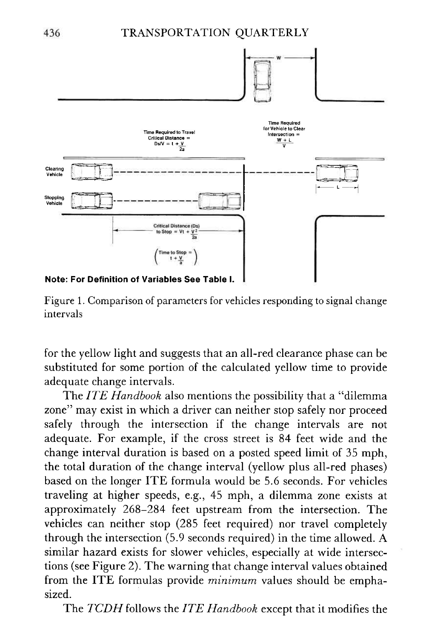

Figure 1. Comparison of parameters for vehicles responding to signal change intervals

for the yellow light and suggests that an all-red clearance phase can be substituted for some portion of the calculated yellow time to provide adequate change intervals.

The ITE Handbook also mentions the possibility that a "dilemma" zone" may exist in which a driver can neither stop safely nor proceed safely through the intersection if the change intervals are not adequate. For example, if the cross street is 84 feet wide and the change interval duration is based on a posted speed limit of 35 mph, the total duration of the change interval (yellow plus all-red phases) based on the longer ITE formula would be 5.6 seconds. For vehicles traveling at higher speeds, e.g., 45 mph, a dilemma zone exists at approximately 268-284 feet upstream from the intersection. The vehicles can neither stop (285 feet required) nor travel completely through the intersection (5.9 seconds required) in the time allowed. A similar hazard exists for slower vehicles, especially at wide intersections (see Figure 2). The warning that change interval values obtained from the ITE formulas provide *minimum* values should be emphasized.

The TCDH follows the ITE Handbook except that it modifies the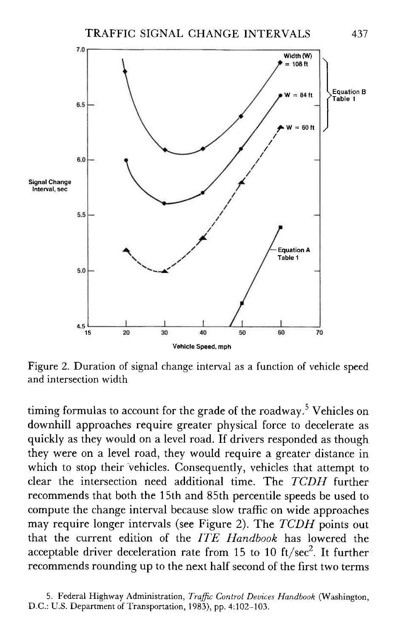

Figure 2. Duration of signal change interval as a function of vehicle speed and intersection width

timing formulas to account for the grade of the roadway.<sup>5</sup> Vehicles on downhill approaches require greater physical force to decelerate as quickly as they would on a level road. If drivers responded as though they were on a level road, they would require a greater distance in which to stop their vehicles. Consequently, vehicles that attempt to clear the intersection need additional time. The TCDH further recommends that both the 15th and 85th percentile speeds be used to compute the change interval because slow traffic on wide approaches may require longer intervals (see Figure 2). The TCDH points out that the current edition of the ITE Handbook has lowered the acceptable driver deceleration rate from 15 to 10 ft/sec<sup>2</sup>. It further recommends rounding up to the next half second of the first two terms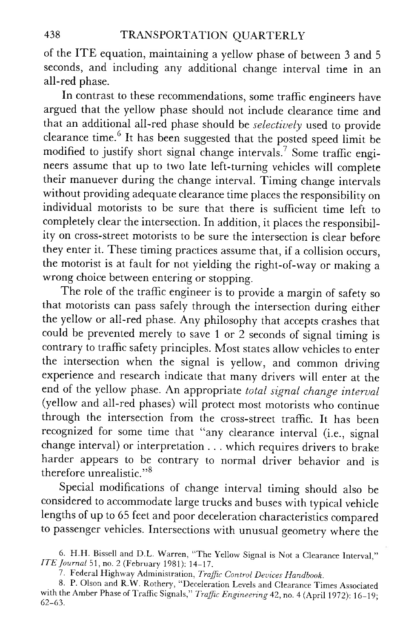of the ITE equation, maintaining a yellow phase of between 3 and <sup>5</sup> seconds, and including any additional change interval time in an all-red phase.

In contrast to these recommendations, some traffic engineers have argued that the yellow phase should not include clearance time and that an additional all-red phase should be *selectively* used to provide clearance time.<sup>6</sup> It has been suggested that the posted speed limit be modified to justify short signal change intervals.' Some traffic engineers assume that up to two late left-turning vehicles will complete their manuever during the change interval. Timing change intervals without providing adequate clearance time places the responsibility on individual motorists to be sure that there is sufficient time left to completely clear the intersection. In addition, it places the responsibility on cross-street motorists to be sure the intersection is clear before they enter it. These timing practices assume that, if a collision occurs, the motorist is at fault for not yielding the right-of-way or making <sup>a</sup> wrong choice between entering or stopping.

The role of the traffic engineer is to provide a margin of safety so that motorists can pass safely through the intersection during either the yellow or all-red phase. Any philosophy that accepts crashes that could be prevented merely to save 1 or 2 seconds of signal timing is contrary to traffic safety principles. Most states allow vehicles to enter the intersection when the signal is yellow, and common driving experience and research indicate that many drivers will enter at the end of the yellow phase. An appropriate total signal change interual (yellow and all-red phases) will protect most motorists who continue through the intersection from the cross-street traffic. It has been recognized for some time that "any clearance interval (i.e., signal change interval) or interpretation . . . which requires drivers to brake harder appears to be contrary to normal driver behavior and is therefore unrealistic. "6

special modifications of change interval timing should also be considered to accommodate large trucks and buses with typical vehicle lengths of up to 65 feet and poor deceleration characteristics compared to passenger vehicles. Intersections with unusual geometry where the

7. Federal Highway Administration, Traffic Control Devices Handbook

<sup>6.</sup> H.H. Bissell and D.L. Warren, "The Yellow Signal is Not a Clearance Interval," ITE Journal 51, no. 2 (February 1981): 14-17.

<sup>8.</sup> P. Olson and R.W. Rothery, "Deceleration Levels and Clearance Times Associated with the Amber Phase of Traffic Signals," Traffic Engineering 42, no. 4 (April 1972): 16-19;  $62 - 63.$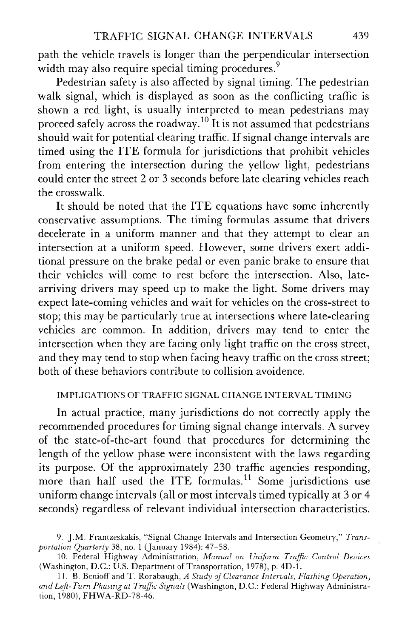path the vehicle travels is longer than the perpendicular intersection width may also require special timing procedures.<sup>9</sup>

Pedestrian safety is also affected by signal timing. The pedestrian walk signal, which is displayed as soon as the conflicting traffic is shown a red light, is usually interpreted to mean pedestrians may proceed safely across the roadway.<sup>10</sup> It is not assumed that pedestrians should wait for potential clearing traffic. If signal change intervals are timed using the ITE formula for jurisdictions that prohibit vehicles from entering the intersection during the yellow light, pedestrians could enter the street 2 or 3 seconds before late clearing vehicles reach the crosswalk.

It should be noted that the ITE equations have some inherently conservative assumptions. The timing formulas assume that drivers decelerate in a uniform manner and that they attempt to clear an intersection at a uniform speed. However, some drivers exert additional pressure on the brake pedal or even panic brake to ensure that their vehicles will come to rest before the intersection. Also, latearriving drivers may speed up to make the light. Some drivers may expect late-coming vehicles and wait for vehicles on the cross-street to stop; this may be particularly true at intersections where late-clearing vehicles are common. In addition, drivers may tend to enter the intersection when they are facing only light traffic on the cross street, and they may tend to stop when facing heavy traffic on the cross street; both of these behaviors contribute to collision avoidence.

#### IMPLICATIONS OF TRAFFIC SIGNAL CHANGE INTERVAL TIMING

In actual practice, many jurisdictions do not correctly apply the recommended procedures for timing signal change intervals. A survey of the state-of-the-art found that procedures for determining the length of the yellow phase were inconsistent with the laws regarding its purpose. Of the approximately 230 traffic agencies responding, more than half used the ITE formulas.<sup>11</sup> Some jurisdictions use uniform change intervals (all or most intervals timed typically at 3 or 4 seconds) regardless of relevant individual intersection characteristics.

<sup>9.</sup> J.M. Frantzeskakis, "Signal Change Intervals and Intersection Geometry," Transportation Quarterly 38, no. 1 (January 1984): 47-58.

<sup>10.</sup> Federal Highway Administration, Manual on Uniform Traffic Control Devices (Washington, D.C.: U.S. Department of Transportation, 1978), p. 4D-1.

<sup>11.</sup> B. Benioff and T. Rorabaugh, A Study of Clearance Intervals, Flashing Operation, and Left-Turn Phasing at Traffic Signals (Washington, D.C.: Federal Highway Administration, 1980), FHWA-RD-78-46.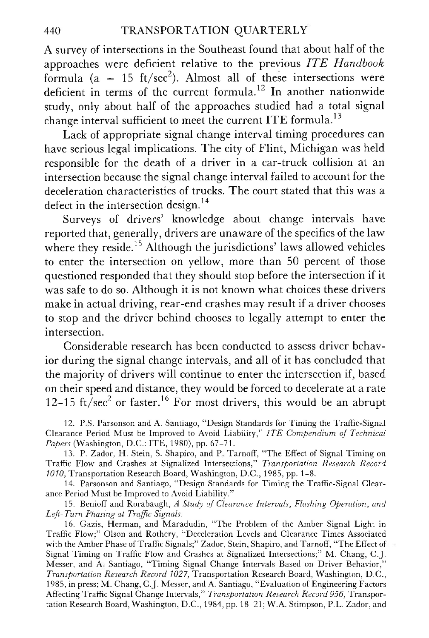### +40 TRANSPORTATION QUARTERLY

A survey of intersections in the Southeast found that about half of the approaches were deficient relative to the previous ITE Handbook formula ( $a = 15$  ft/sec<sup>2</sup>). Almost all of these intersections were deficient in terms of the current formula.<sup>12</sup> In another nationwide study, only about half of the approaches studied had a total signal change interval sufficient to meet the current ITE formula.<sup>13</sup>

Lack of appropriate signal change interval timing procedures can have serious legal implications. The city of Flint, Michigan was held responsible for the death of a driver in a car-truck collision at an intersection because the signal change interval failed to account for the deceleration characteristics of trucks. The court stated that this was a defect in the intersection design. $14$ 

Surveys of drivers' knowledge about change intervals have reported that, generally, drivers are unaware of the specifics of the law where they reside.<sup>15</sup> Although the jurisdictions' laws allowed vehicles to enter the intersection on yellow, more than 50 percent of those questioned responded that they should stop before the intersection if it was safe to do so. Although it is not known what choices these drivers make in actual driving, rear-end crashes may result if a driver chooses to stop and the driver behind chooses to legally attempt to enter the intersection.

Considerable research has been conducted to assess driver behavior during the signal change intervals, and all of it has concluded that the majority of drivers will continue to enter the intersection if, based on their speed and distance, they would be forced to decelerate at a rate 12-15 ft/sec<sup>2</sup> or faster.<sup>16</sup> For most drivers, this would be an abrupt

12. P.S. Parsonson and A. Santiago, "Design Standards for Timing the Traffic-Signal Clearance Period Must be Improved to Avoid Liability," ITE Compendium of Technical Papers (Washington, D.C.: ITE, 1980), pp. 67-71.

13. P. Zador, H. Stein, S. Shapiro, and P. Tarnoff, "The Effect of Signal Timing on Traffic Flow and Crashes at Signalized Intersections," Transportation Research Record 1010, Transportation Research Board, Washington, D.C., 1985, pp. 1-8.

14. Parsonson and Santiago, "Design Standards for Timing the Traffic-Signal Clearance Period Must be Improved to Avoid Liability."

15. Benioff and Rorabaugh, A Study of Clearance Intervals, Flashing Operation, and Left-Turn Phasing at Traffic Signals.

16. Gazis, Herman, and Maradudin, "The Problem of the Amber Signal Light in Traffic Flow;" Olson and Rothery, "Deceleration Levels and Clearance Times Associated with the Amber Phase of Traffic Signals;" Zador, Stein, Shapiro, and Tarnoff, "The Effect of Signal Timing on Traffic Flow and Crashes at Signalized Intersections;" M. Chang, C.J. Messer, and A Santiago, "Timing Signal Change Intervals Based on Driver Behavior," Transportation Research Record 1027, Transportation Research Board, Washington, D.C., 1985, in press; M. Chang, C.J. Messer, and A. Santiago, "Evaluation of Engineering Factors Affecting Traffic Signal Change Intervals," *Transportation Research Record 956*, Transportation Research Board, Washington, D.C., 1984, pp. 18–21; W.A. Stimpson, P.L. Zador, and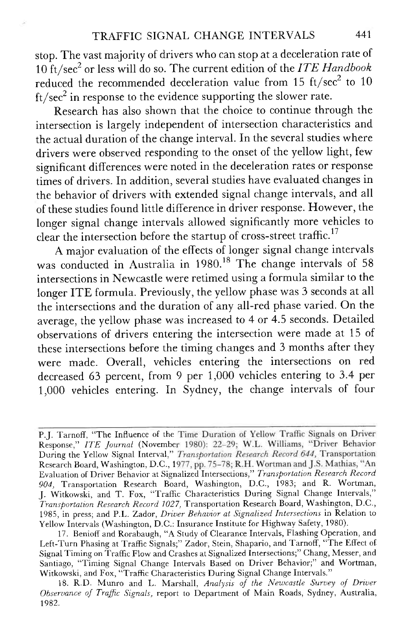stop. The vast majority of drivers who can stop at a deceleration rate of  $10 \text{ ft/sec}^2$  or less will do so. The current edition of the ITE Handbook reduced the recommended deceleration value from 15  $ft/sec<sup>2</sup>$  to 10 ft/sec<sup>2</sup> in response to the evidence supporting the slower rate.

Research has also shown that the choice to continue through the intersection is largely independent of intersection characteristics and the actual duration of the change interval. In the several studies where drivers were observed responding to the onset of the yellow light, few significant differences were noted in the deceleration rates or response times of drivers. In addition, several studies have evaluated changes in the behavior of drivers with extended signal change intervals, and all of these studies found little difference in driver response. However, the longer signal change intervals allowed significantly more vehicles to clear the intersection before the startup of cross-street traffic.<sup>17</sup>

A major evaluation of the effects of longer signal change intervals was conducted in Australia in  $1980$ .<sup>18</sup> The change intervals of 58 intersections in Newcastle were retimed using a formula similar to the longer ITE formula. Previously, the yellow phase was 3 seconds at all the intersections and the duration of any all-red phase varied. On the average, the yellow phase was increased to 4 or  $\overline{4.5}$  seconds. Detailed observations of drivers entering the intersection were made at 15 of these intersections before the timing changes and 3 months after they were made. Overall, vehicles entering the intersections on red decreased 63 percent, from 9 per 1,000 vehicles entering to 3.4 per 1,000 vehicles entering. In Sydney, the change intervals of four

P.J. Tarnoff, "The Influence of the Time Duration of Yellow Traffic Signals on Driver Response," ITE Journal (November 1980): 22-29; W.L. Williams, "Driver Behavior During the Yellow Signal Interval," Research Board, Washington, D.C., <sup>1</sup> Evaluation of Driver Behavior at Signalized Intersections," Transportation Research Record 904, Transportation Research Board, Washington, D.C., 1983; and R. Wortman, J. Witkowski, and T. Fox, "Traffic Characteristics During Signal Change Intervals," Transportation Research Record 1027, Transportation Research Board, Washington, D.C., 1985, in press; and P.L. Zador, Driver Behavior at Signalized Intersections in Relation to Yellow Intervals (Washington, D.C.: Insurance Institute for Highway Safety, 1980).

<sup>17.</sup> Benioff and Rorabaugh, "A Study of Clearance Intervals, Flashing Operation, and Left-Turn Phasing at Traffic Signals;" Zador, Stein, Shapario, and Tarnoff, "The Effect of Signal Timing on Traffrc FIow and Crashes at Signalized Intersections;" Chang, Messer, and Santiago, "Timing Signal Change Intervals Based on Driver Behavior;" and Wortman, Witkowski, and Fox, "Traffic Characteristics During Signal Change Intervals."

<sup>18.</sup> R.D. Munro and L. Marshall, Analysis of the Newcastle Survey of Driver Observance of Traffic Signals, report to Department of Main Roads, Sydney, Australia, 1982.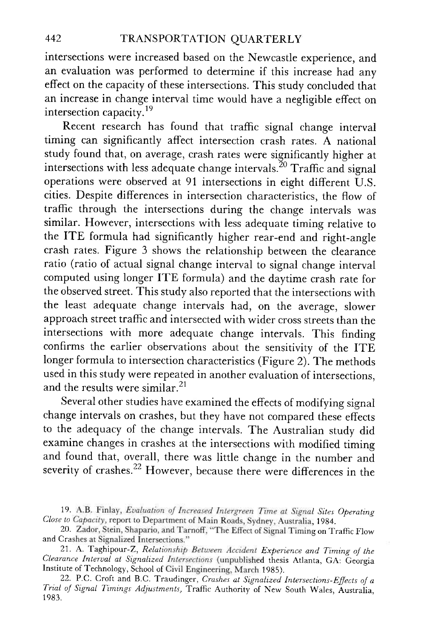intersections were increased based on the Newcastle experience, and an evaluation was performed to determine if this increase had any effect on the capacity of these intersections. This study concluded that an increase in change interval time would have a negligible effect on intersection capacity.<sup>19</sup>

Recent research has found that traffic signal change interval timing can significantly affect intersection crash rates. A national study found that, on average, crash rates were significantly higher at intersections with less adequate change intervals.<sup>20</sup> Traffic and signal operations were observed at 91 intersections in eight different  $\tilde{U}$ .S. cities. Despite differences in intersection characteristics, the flow of traffic through the intersections during the change intervals was similar. However, intersections with less adequate timing relative to the ITE formula had significantly higher rear-end and right-angle crash rates. Figure 3 shows the relationship between the clearance ratio (ratio of actual signal change interval to signal change interval computed using longer ITE formula) and the daytime crash rate for the observed street. This study also reported that the intersections with the least adequate change intervals had, on the average, slower approach street traffic and intersected with wider cross streets than the intersections with more adequate change intervals. This finding confirms the earlier observations about the sensitivity of the ITE longer formula to intersection characteristics (Figure 2). The methods used in this study were repeated in another evaluation of intersections, and the results were similar.  $21$ 

Several other studies have examined the effects of modifying signal change intervals on crashes, but they have not compared these effects to the adequacy of the change intervals. The Australian study did examine changes in crashes at the intersections with modified timing and found that, overall, there was little chanqe in the number and severity of crashes.<sup>22</sup> However, because there were differences in the

<sup>19.</sup> A.B. Finlay, Evaluation of Increased Intergreen Time at Signal Sites Operating Close to Capacity, report to Department of Main Roads, Sydney, Australia, 1984.

<sup>20.</sup> Zador, Stein, Shapario, and Tarnoff, "The Effect of Signal Timing on Traffic Flow and Crashes at Signalized Intersections."

<sup>21.</sup> A. Taghipour-Z, Relationship Between Accident Experience and Timing of the Clearance Interval at Signalized Intersections (unpublished thesis Atlanta, GA: Georgia Institute of Technology, School of Civil Engineering, March 1985).

<sup>22.</sup> P.C. Croft and B.C. Traudinger, Crashes at Signalized Intersections-Effects of a Trial of Signal Timings Adjustments, Traffic Authority of New South Wales, Australia, 1 983.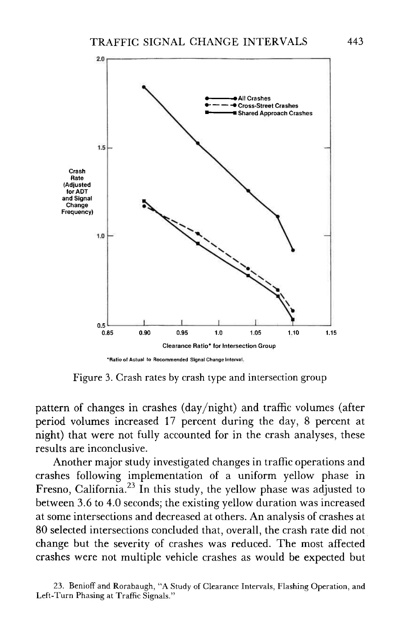

Figure 3. Crash rates by crash type and intersection group

pattern of changes in crashes (day/night) and traffic volumes (after period volumes increased 17 percent during the day, 8 percent at night) that were not fully accounted for in the crash analyses, these results are inconclusive.

Another major study investigated changes in traffic operations and crashes following implementation of a uniform yellow phase in Fresno, California.<sup>23</sup> In this study, the yellow phase was adjusted to between 3.6 to 4.0 seconds; the existing yellow duration was increased at some intersections and decreased at others. An analysis of crashes at 80 selected intersections concluded that, overall, the crash rate did not change but the severity of crashes was reduced. The most affected crashes were not multiple vehicle crashes as would be expected but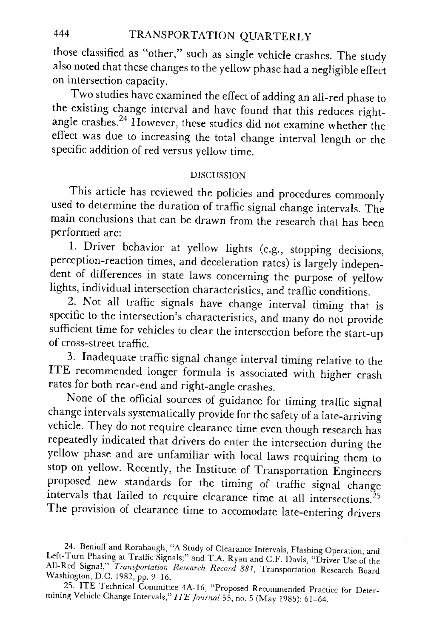those classified as "other," such as single vehicle crashes. The study also noted that these changes to the yellow phase had a negligible effect on intersection capacity.

Two studies have examined the effect of adding an ail-red phase to the existing change interval and have found that this reduces rightangle crashes.<sup>24</sup> However, these studies did not examine whether the effect was due to increasing the total change interval length or the specific addition of red versus vellow time.

#### DISCUSSION

This article has reviewed the policies and procedures commonly used to determine the duration of traffic signal change intervals. The main conclusions that can be drawn from the research that has been performed are:

1. Driver behavior at yellow lights (e.g., stopping decisions, perception-reaction times, and deceleration rates) is largely independent of differences in state laws concerning the purpose of yellow lights, individual intersection characteristics, and traffic conditions.

2. Not all traffic signals have change interval timing that is specific to the intersection's characteristics, and many do not provide sufficient time for vehicles to clear the intersection before the start-up of cross-street traffic.<br>3. Inadequate traffic signal change interval timing relative to the

ITE recommended longer formula is associated with higher crash rates for both rear-end and right-angle crashes.

None of the official sources of guidance for timing traffic signal change intervals systematically provide for the safety of a late-arriving vehicle. They do not require clearance time even though research has repeatedly indicated that drivers do enter the intersection during the yellow phase and are unfamiliar with local laws requiring them to stop on yellow. Recently, the Institute of Transportation Engineers proposed new standards for the timing of traffic signal change intervals that failed to require clearance time at all intersections.<sup>25</sup> The provision of clearance time to accomodate late-entering drivers

<sup>24.</sup> Benioff and Rorabaugh, "A Study of Clearance Intervals, Flashing Operation, and Left-Turn Phasing at Traffic Signals;" and T.A. Ryan and C.F. Davis, "Driver Use of the All-Red Signal," Transportation Research Record 881, Transportation Research Board Washington, D.C. 1982, pp. 9-16.

<sup>25.</sup> ITE Technical Committee 4A-16, "Proposed Recommended Practice for Deter-<br>mining Vehicle Change Intervals," ITE Journal 55, no. 5 (May 1985): 61-64.